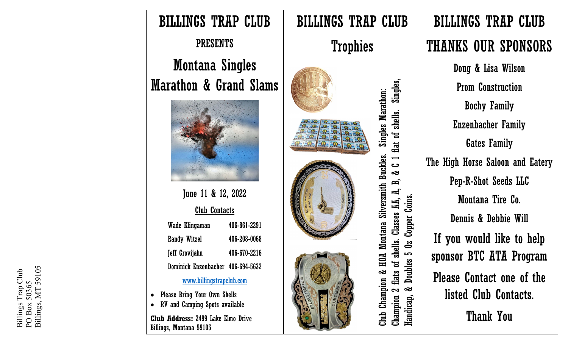

**Club Address:** 2499 Lake Elmo Drive Billings, Montana 59105

THANKS OUR SPONSORS Doug & Lisa Wilson Champion 2 flats of shells. Classes AA, A, B, & C 1 flat of shells. Singles, Singles, Prom Construction Club Champion & HOA Montana Silversmith Buckles. Singles Marathon: **Singles Marathon:** Bochy Family flat of shells. Enzenbacher Family Gates Family Club Champion & HOA Montana Silversmith Buckles.  $\overline{\phantom{0}}$ The High Horse Saloon and Eatery ں ತ Pep - R -Shot Seeds LLC  $\mathbf{B}$ Д, Coins. Handicap, & Doubles 5 Oz Copper Coins.Montana Tire Co. Champion 2 flats of shells. Classes AA, Copper Dennis & Debbie Will If you would like to help  $\overline{\mathbf{S}}$ <u>က</u> sponsor BTC ATA Program Doubles Please Contact one of the ತ listed Club Contacts. Handicap,

Thank You

BILLINGS TRAP CLUB

Billings Trap Club<br>PO Box 50365<br>Billings, MT 59105 Billings, MT 59105 Billings Trap Club PO Box 50365